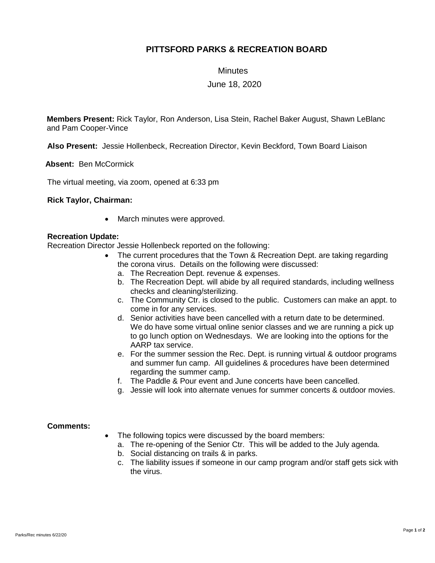# **PITTSFORD PARKS & RECREATION BOARD**

**Minutes** 

## June 18, 2020

**Members Present:** Rick Taylor, Ron Anderson, Lisa Stein, Rachel Baker August, Shawn LeBlanc and Pam Cooper-Vince

**Also Present:** Jessie Hollenbeck, Recreation Director, Kevin Beckford, Town Board Liaison

 **Absent:** Ben McCormick

The virtual meeting, via zoom, opened at 6:33 pm

### **Rick Taylor, Chairman:**

• March minutes were approved.

### **Recreation Update:**

Recreation Director Jessie Hollenbeck reported on the following:

- The current procedures that the Town & Recreation Dept. are taking regarding the corona virus. Details on the following were discussed:
	- a. The Recreation Dept. revenue & expenses.
	- b. The Recreation Dept. will abide by all required standards, including wellness checks and cleaning/sterilizing.
	- c. The Community Ctr. is closed to the public. Customers can make an appt. to come in for any services.
	- d. Senior activities have been cancelled with a return date to be determined. We do have some virtual online senior classes and we are running a pick up to go lunch option on Wednesdays. We are looking into the options for the AARP tax service.
	- e. For the summer session the Rec. Dept. is running virtual & outdoor programs and summer fun camp. All guidelines & procedures have been determined regarding the summer camp.
	- f. The Paddle & Pour event and June concerts have been cancelled.
	- g. Jessie will look into alternate venues for summer concerts & outdoor movies.

### **Comments:**

- The following topics were discussed by the board members:
	- a. The re-opening of the Senior Ctr. This will be added to the July agenda.
	- b. Social distancing on trails & in parks.
	- c. The liability issues if someone in our camp program and/or staff gets sick with the virus.